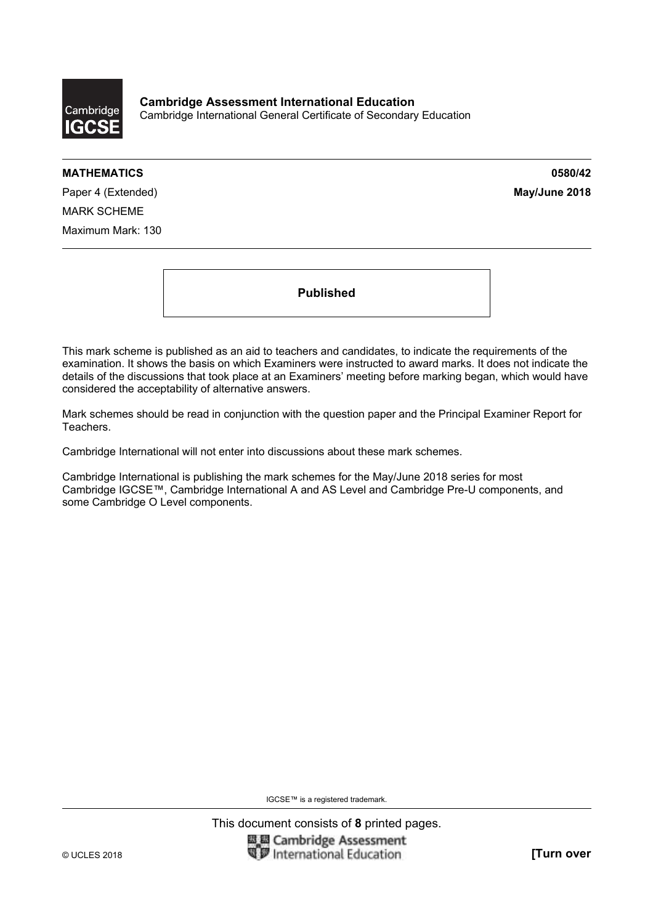

**Cambridge Assessment International Education**  Cambridge International General Certificate of Secondary Education

#### **MATHEMATICS 0580/42**

Paper 4 (Extended) **May/June 2018** MARK SCHEME Maximum Mark: 130

**Published** 

This mark scheme is published as an aid to teachers and candidates, to indicate the requirements of the examination. It shows the basis on which Examiners were instructed to award marks. It does not indicate the details of the discussions that took place at an Examiners' meeting before marking began, which would have considered the acceptability of alternative answers.

Mark schemes should be read in conjunction with the question paper and the Principal Examiner Report for Teachers.

Cambridge International will not enter into discussions about these mark schemes.

Cambridge International is publishing the mark schemes for the May/June 2018 series for most Cambridge IGCSE™, Cambridge International A and AS Level and Cambridge Pre-U components, and some Cambridge O Level components.

IGCSE™ is a registered trademark.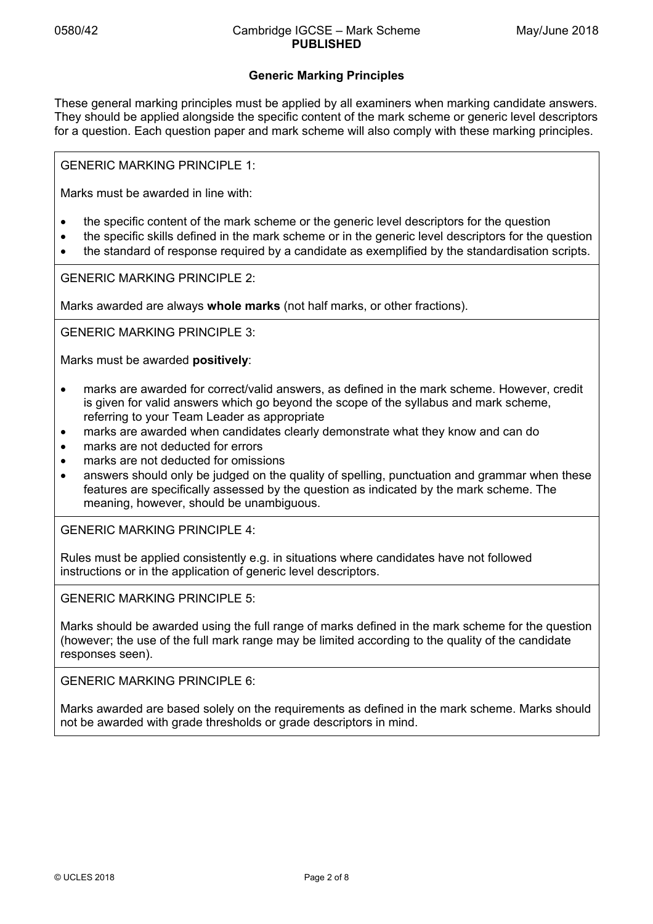# **Generic Marking Principles**

These general marking principles must be applied by all examiners when marking candidate answers. They should be applied alongside the specific content of the mark scheme or generic level descriptors for a question. Each question paper and mark scheme will also comply with these marking principles.

GENERIC MARKING PRINCIPLE 1:

Marks must be awarded in line with:

- the specific content of the mark scheme or the generic level descriptors for the question
- the specific skills defined in the mark scheme or in the generic level descriptors for the question
- the standard of response required by a candidate as exemplified by the standardisation scripts.

GENERIC MARKING PRINCIPLE 2:

Marks awarded are always **whole marks** (not half marks, or other fractions).

GENERIC MARKING PRINCIPLE 3:

Marks must be awarded **positively**:

- marks are awarded for correct/valid answers, as defined in the mark scheme. However, credit is given for valid answers which go beyond the scope of the syllabus and mark scheme, referring to your Team Leader as appropriate
- marks are awarded when candidates clearly demonstrate what they know and can do
- marks are not deducted for errors
- marks are not deducted for omissions
- answers should only be judged on the quality of spelling, punctuation and grammar when these features are specifically assessed by the question as indicated by the mark scheme. The meaning, however, should be unambiguous.

GENERIC MARKING PRINCIPLE 4:

Rules must be applied consistently e.g. in situations where candidates have not followed instructions or in the application of generic level descriptors.

GENERIC MARKING PRINCIPLE 5:

Marks should be awarded using the full range of marks defined in the mark scheme for the question (however; the use of the full mark range may be limited according to the quality of the candidate responses seen).

GENERIC MARKING PRINCIPLE 6:

Marks awarded are based solely on the requirements as defined in the mark scheme. Marks should not be awarded with grade thresholds or grade descriptors in mind.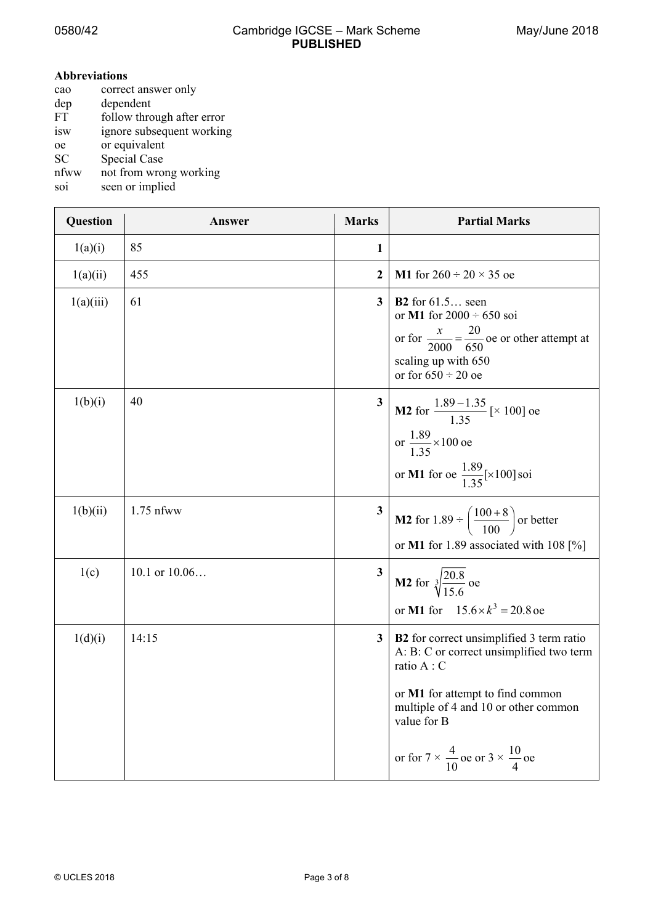$\mathbf{r}$ 

# **Abbreviations**

| cao       | correct answer only        |
|-----------|----------------------------|
| dep       | dependent                  |
| <b>FT</b> | follow through after error |
| isw       | ignore subsequent working  |
| oe        | or equivalent              |
| <b>SC</b> | <b>Special Case</b>        |
| nfww      | not from wrong working     |
| soi       | seen or implied            |

| Question  | Answer          | <b>Marks</b>            | <b>Partial Marks</b>                                                                                                                                                                                                                                                    |
|-----------|-----------------|-------------------------|-------------------------------------------------------------------------------------------------------------------------------------------------------------------------------------------------------------------------------------------------------------------------|
| 1(a)(i)   | 85              | 1                       |                                                                                                                                                                                                                                                                         |
| 1(a)(ii)  | 455             | 2                       | <b>M1</b> for $260 \div 20 \times 35$ oe                                                                                                                                                                                                                                |
| 1(a)(iii) | 61              | $\mathbf{3}$            | <b>B2</b> for $61.5$ seen<br>or M1 for $2000 \div 650$ soi<br>or for $\frac{x}{2000} = \frac{20}{650}$ oe or other attempt at<br>scaling up with 650<br>or for $650 \div 20$ oe                                                                                         |
| 1(b)(i)   | 40              | 3                       | <b>M2</b> for $\frac{1.89 - 1.35}{1.35}$ [× 100] oe<br>or $\frac{1.89}{1.35} \times 100$ oe<br>or <b>M1</b> for oe $\frac{1.89}{1.35}$ [×100] soi                                                                                                                       |
| 1(b)(ii)  | $1.75$ nfww     | $\overline{\mathbf{3}}$ | <b>M2</b> for 1.89 $\div$ $\left(\frac{100+8}{100}\right)$ or better<br>or M1 for 1.89 associated with 108 $[%]$                                                                                                                                                        |
| 1(c)      | 10.1 or $10.06$ | $\mathbf{3}$            | <b>M2</b> for $\sqrt[3]{\frac{20.8}{15.6}}$ oe<br>or M1 for $15.6 \times k^3 = 20.8$ oe                                                                                                                                                                                 |
| 1(d)(i)   | 14:15           | $\mathbf{3}$            | <b>B2</b> for correct unsimplified 3 term ratio<br>A: B: C or correct unsimplified two term<br>ratio A: C<br>or M1 for attempt to find common<br>multiple of 4 and 10 or other common<br>value for B<br>or for $7 \times \frac{4}{10}$ oe or $3 \times \frac{10}{4}$ oe |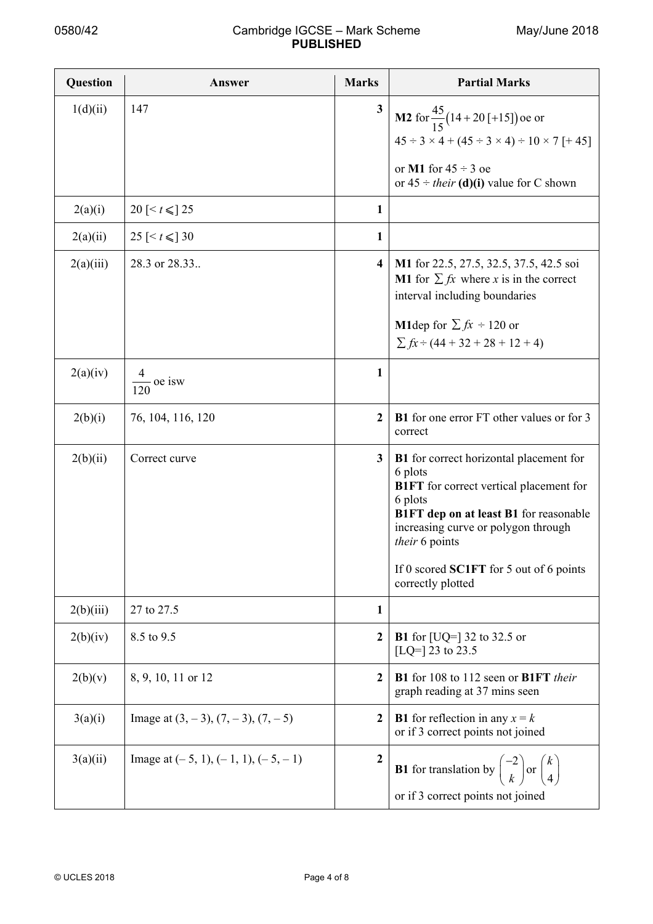| Question  | Answer                                      | <b>Marks</b>            | <b>Partial Marks</b>                                                                                                                                                                                                                                                                      |
|-----------|---------------------------------------------|-------------------------|-------------------------------------------------------------------------------------------------------------------------------------------------------------------------------------------------------------------------------------------------------------------------------------------|
| 1(d)(ii)  | 147                                         | 3                       | <b>M2</b> for $\frac{45}{15}$ (14 + 20 [+15]) oe or<br>$45 \div 3 \times 4 + (45 \div 3 \times 4) \div 10 \times 7$ [+45]<br>or M1 for $45 \div 3$ oe<br>or $45 \div$ their (d)(i) value for C shown                                                                                      |
| 2(a)(i)   | 20 [ $\le t \le$ 25                         | 1                       |                                                                                                                                                                                                                                                                                           |
| 2(a)(ii)  | 25 [ $\le t \le$ 30                         | 1                       |                                                                                                                                                                                                                                                                                           |
| 2(a)(iii) | 28.3 or 28.33.                              | $\overline{\mathbf{4}}$ | M1 for 22.5, 27.5, 32.5, 37.5, 42.5 soi<br><b>M1</b> for $\sum fx$ where x is in the correct<br>interval including boundaries<br><b>M1</b> dep for $\sum fx \div 120$ or<br>$\sum fx \div (44 + 32 + 28 + 12 + 4)$                                                                        |
| 2(a)(iv)  | $\frac{4}{1}$ oe isw                        | 1                       |                                                                                                                                                                                                                                                                                           |
| 2(b)(i)   | 76, 104, 116, 120                           | $\overline{2}$          | <b>B1</b> for one error FT other values or for 3<br>correct                                                                                                                                                                                                                               |
| 2(b)(ii)  | Correct curve                               | 3                       | <b>B1</b> for correct horizontal placement for<br>6 plots<br><b>B1FT</b> for correct vertical placement for<br>6 plots<br>B1FT dep on at least B1 for reasonable<br>increasing curve or polygon through<br>their 6 points<br>If 0 scored SC1FT for 5 out of 6 points<br>correctly plotted |
| 2(b)(iii) | 27 to 27.5                                  | 1                       |                                                                                                                                                                                                                                                                                           |
| 2(b)(iv)  | 8.5 to 9.5                                  | $\mathbf{2}$            | <b>B1</b> for $[UQ=]$ 32 to 32.5 or<br>[LQ=] 23 to 23.5                                                                                                                                                                                                                                   |
| 2(b)(v)   | 8, 9, 10, 11 or 12                          | $\boldsymbol{2}$        | B1 for 108 to 112 seen or B1FT their<br>graph reading at 37 mins seen                                                                                                                                                                                                                     |
| 3(a)(i)   | Image at $(3, -3)$ , $(7, -3)$ , $(7, -5)$  | $\boldsymbol{2}$        | <b>B1</b> for reflection in any $x = k$<br>or if 3 correct points not joined                                                                                                                                                                                                              |
| 3(a)(ii)  | Image at $(-5, 1)$ , $(-1, 1)$ , $(-5, -1)$ | $\overline{2}$          | <b>B1</b> for translation by $\begin{pmatrix} -2 \\ k \end{pmatrix}$ or $\begin{pmatrix} k \\ 4 \end{pmatrix}$<br>or if 3 correct points not joined                                                                                                                                       |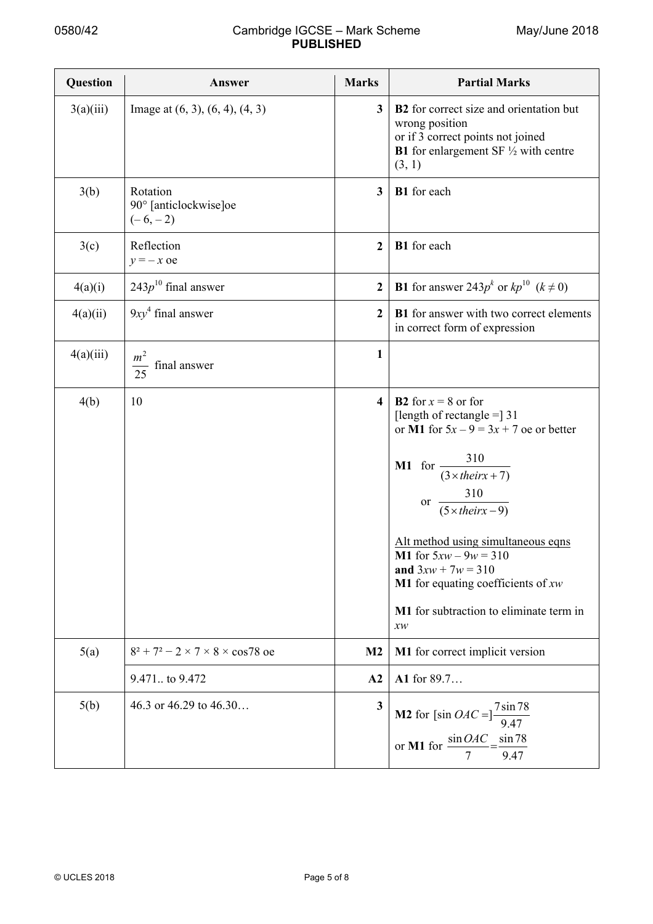| Question  | Answer                                            | <b>Marks</b>            | <b>Partial Marks</b>                                                                                                                                                                                                                                                                                                                                                                                                            |
|-----------|---------------------------------------------------|-------------------------|---------------------------------------------------------------------------------------------------------------------------------------------------------------------------------------------------------------------------------------------------------------------------------------------------------------------------------------------------------------------------------------------------------------------------------|
| 3(a)(iii) | Image at $(6, 3)$ , $(6, 4)$ , $(4, 3)$           | $\overline{\mathbf{3}}$ | <b>B2</b> for correct size and orientation but<br>wrong position<br>or if 3 correct points not joined<br><b>B1</b> for enlargement SF $\frac{1}{2}$ with centre<br>(3, 1)                                                                                                                                                                                                                                                       |
| 3(b)      | Rotation<br>90° [anticlockwise]oe<br>$(-6,-2)$    | $\mathbf{3}$            | B1 for each                                                                                                                                                                                                                                                                                                                                                                                                                     |
| 3(c)      | Reflection<br>$y = -x$ oe                         | $\overline{2}$          | B1 for each                                                                                                                                                                                                                                                                                                                                                                                                                     |
| 4(a)(i)   | $243p^{10}$ final answer                          | $\overline{2}$          | <b>B1</b> for answer 243 $p^k$ or $kp^{10}$ $(k \neq 0)$                                                                                                                                                                                                                                                                                                                                                                        |
| 4(a)(ii)  | $9xy4$ final answer                               | $\mathbf{2}$            | B1 for answer with two correct elements<br>in correct form of expression                                                                                                                                                                                                                                                                                                                                                        |
| 4(a)(iii) | m <sup>2</sup><br>final answer<br>$\overline{25}$ | 1                       |                                                                                                                                                                                                                                                                                                                                                                                                                                 |
| 4(b)      | 10                                                | $\overline{\mathbf{4}}$ | <b>B2</b> for $x = 8$ or for<br>[length of rectangle $=$ ] 31<br>or M1 for $5x - 9 = 3x + 7$ oe or better<br><b>M1</b> for $\frac{310}{(3 \times \text{their} x + 7)}$<br>310<br>$\frac{310}{(5 \times their x - 9)}$<br>$or -$<br>Alt method using simultaneous eqns<br><b>M1</b> for $5xw - 9w = 310$<br>and $3xw + 7w = 310$<br><b>M1</b> for equating coefficients of $xw$<br>M1 for subtraction to eliminate term in<br>xw |
| 5(a)      | $8^2$ + 7 <sup>2</sup> – 2 × 7 × 8 × cos78 oe     | M <sub>2</sub>          | M1 for correct implicit version                                                                                                                                                                                                                                                                                                                                                                                                 |
|           | 9.471 to 9.472                                    | A2                      | A1 for 89.7                                                                                                                                                                                                                                                                                                                                                                                                                     |
| 5(b)      | 46.3 or 46.29 to $46.30$                          | $\overline{\mathbf{3}}$ | <b>M2</b> for [sin $OAC = \frac{7 \sin 78}{9.47}$<br>or <b>M1</b> for $\frac{\sin OAC}{7} = \frac{\sin 78}{9.47}$                                                                                                                                                                                                                                                                                                               |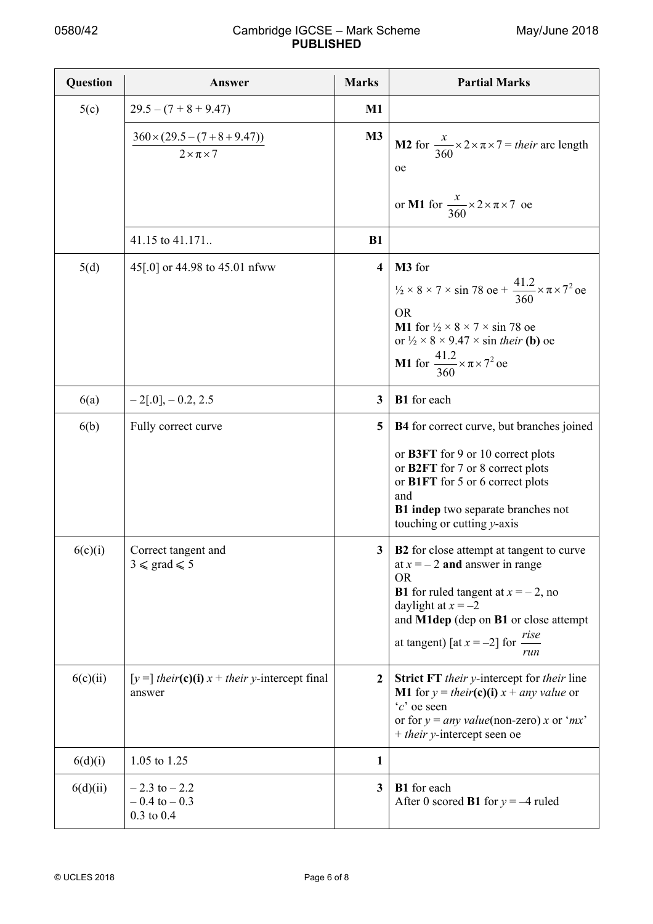| Question | Answer                                                          | <b>Marks</b>            | <b>Partial Marks</b>                                                                                                                                                                                                                                                                                              |
|----------|-----------------------------------------------------------------|-------------------------|-------------------------------------------------------------------------------------------------------------------------------------------------------------------------------------------------------------------------------------------------------------------------------------------------------------------|
| 5(c)     | $29.5 - (7 + 8 + 9.47)$                                         | $M1$                    |                                                                                                                                                                                                                                                                                                                   |
|          | $360 \times (29.5 - (7 + 8 + 9.47))$<br>$2 \times \pi \times 7$ | M <sub>3</sub>          | <b>M2</b> for $\frac{x}{360} \times 2 \times \pi \times 7 =$ their arc length<br>oe                                                                                                                                                                                                                               |
|          |                                                                 |                         | or M1 for $\frac{x}{360} \times 2 \times \pi \times 7$ oe                                                                                                                                                                                                                                                         |
|          | 41.15 to 41.171.                                                | <b>B1</b>               |                                                                                                                                                                                                                                                                                                                   |
| 5(d)     | 45[.0] or 44.98 to 45.01 nfww                                   | $\overline{\mathbf{4}}$ | M3 for<br>$\frac{1}{2} \times 8 \times 7 \times \sin 78$ oe + $\frac{41.2}{360} \times \pi \times 7^2$ oe<br><b>OR</b><br>M1 for $\frac{1}{2} \times 8 \times 7 \times \sin 78$ oe<br>or $\frac{1}{2} \times 8 \times 9.47 \times \sin$ their (b) oe<br><b>M1</b> for $\frac{41.2}{360} \times \pi \times 7^2$ oe |
| 6(a)     | $-2[.0]$ , $-0.2$ , 2.5                                         | $\mathbf{3}$            | B1 for each                                                                                                                                                                                                                                                                                                       |
| 6(b)     | Fully correct curve                                             | 5                       | <b>B4</b> for correct curve, but branches joined<br>or B3FT for 9 or 10 correct plots<br>or B2FT for 7 or 8 correct plots<br>or B1FT for 5 or 6 correct plots<br>and<br>B1 indep two separate branches not<br>touching or cutting y-axis                                                                          |
| 6(c)(i)  | Correct tangent and<br>$3 \le \text{grad} \le 5$                | 3                       | <b>B2</b> for close attempt at tangent to curve<br>at $x = -2$ and answer in range<br><b>OR</b><br><b>B1</b> for ruled tangent at $x = -2$ , no<br>daylight at $x = -2$<br>and M1dep (dep on B1 or close attempt<br>at tangent) [at $x = -2$ ] for $\frac{rise}{}$<br>run                                         |
| 6(c)(ii) | $[y=]$ their(c)(i) $x +$ their y-intercept final<br>answer      | $\mathbf 2$             | <b>Strict FT</b> their y-intercept for their line<br><b>M1</b> for $y = their(c)(i) x + any value$ or<br>$c$ oe seen<br>or for $y = any value (non-zero) x$ or 'mx'<br>+ their y-intercept seen oe                                                                                                                |
| 6(d)(i)  | 1.05 to 1.25                                                    | 1                       |                                                                                                                                                                                                                                                                                                                   |
| 6(d)(ii) | $-2.3$ to $-2.2$<br>$-0.4$ to $-0.3$<br>$0.3$ to $0.4$          | $\mathbf{3}$            | B1 for each<br>After 0 scored <b>B1</b> for $y = -4$ ruled                                                                                                                                                                                                                                                        |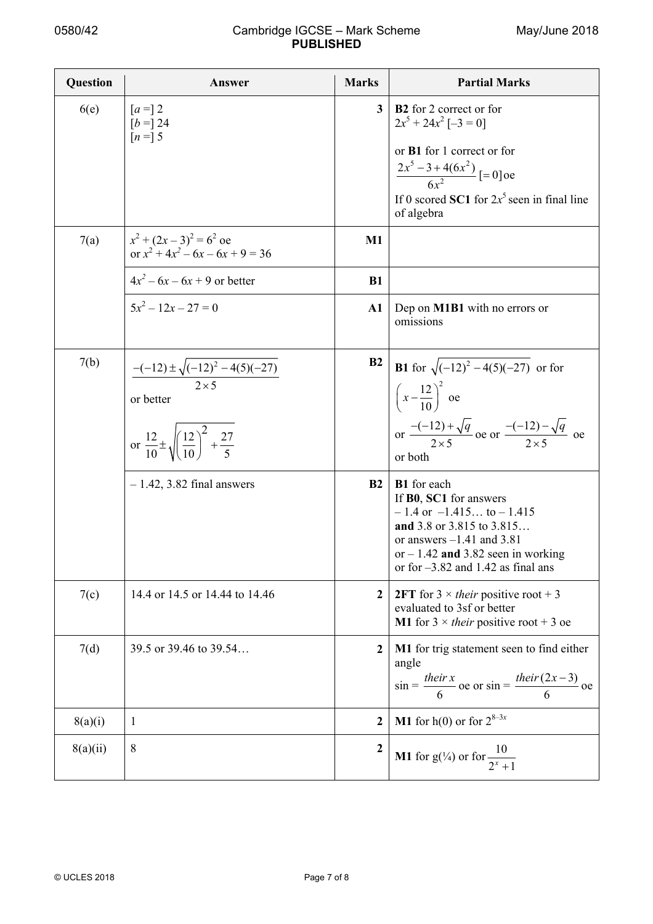| Question | Answer                                                                                                                                               | <b>Marks</b>     | <b>Partial Marks</b>                                                                                                                                                                                                                     |
|----------|------------------------------------------------------------------------------------------------------------------------------------------------------|------------------|------------------------------------------------------------------------------------------------------------------------------------------------------------------------------------------------------------------------------------------|
| 6(e)     | $[a=]$ 2<br>$[b =] 24$<br>$[n =] 5$                                                                                                                  | 3                | <b>B2</b> for 2 correct or for<br>$2x^5 + 24x^2$ [-3 = 0]<br>or B1 for 1 correct or for<br>$\frac{2x^5 - 3 + 4(6x^2)}{6x^2}$ [= 0] oe<br>If 0 scored SC1 for $2x^5$ seen in final line<br>of algebra                                     |
| 7(a)     | $x^{2} + (2x - 3)^{2} = 6^{2}$ oe<br>or $x^2 + 4x^2 - 6x - 6x + 9 = 36$                                                                              | $\mathbf{M}1$    |                                                                                                                                                                                                                                          |
|          | $4x^2 - 6x - 6x + 9$ or better                                                                                                                       | <b>B1</b>        |                                                                                                                                                                                                                                          |
|          | $5x^2 - 12x - 27 = 0$                                                                                                                                | ${\bf A1}$       | Dep on <b>M1B1</b> with no errors or<br>omissions                                                                                                                                                                                        |
| 7(b)     | $\frac{-(-12) \pm \sqrt{(-12)^2 - 4(5)(-27)}}{2 \times 5}$<br>or better<br>or $\frac{12}{10} \pm \sqrt{\left(\frac{12}{10}\right)^2 + \frac{27}{5}}$ | B <sub>2</sub>   | <b>B1</b> for $\sqrt{(-12)^2 - 4(5)(-27)}$ or for<br>$\left(x-\frac{12}{10}\right)^2$ oe<br>or $\frac{-(-12) + \sqrt{q}}{2 \times 5}$ oe or $\frac{-(-12) - \sqrt{q}}{2 \times 5}$ oe<br>or both                                         |
|          | $-1.42$ , 3.82 final answers                                                                                                                         | <b>B2</b>        | <b>B1</b> for each<br>If <b>B0</b> , <b>SC1</b> for answers<br>$-1.4$ or $-1.415$ to $-1.415$<br>and 3.8 or 3.815 to 3.815<br>or answers $-1.41$ and 3.81<br>or $-1.42$ and 3.82 seen in working<br>or for $-3.82$ and 1.42 as final ans |
| 7(c)     | 14.4 or 14.5 or 14.44 to 14.46                                                                                                                       | 2                | <b>2FT</b> for $3 \times$ <i>their</i> positive root + 3<br>evaluated to 3sf or better<br><b>M1</b> for $3 \times$ their positive root + 3 oe                                                                                            |
| 7(d)     | 39.5 or 39.46 to 39.54                                                                                                                               | 2                | M1 for trig statement seen to find either<br>angle<br>$\sin = \frac{their x}{6}$ oe or $\sin = \frac{their (2x-3)}{6}$ oe                                                                                                                |
| 8(a)(i)  | 1                                                                                                                                                    | $\mathbf{2}$     | <b>M1</b> for h(0) or for $2^{8-3x}$                                                                                                                                                                                                     |
| 8(a)(ii) | 8                                                                                                                                                    | $\boldsymbol{2}$ | <b>M1</b> for $g(\frac{1}{4})$ or for $\frac{10}{2^{x}+1}$                                                                                                                                                                               |